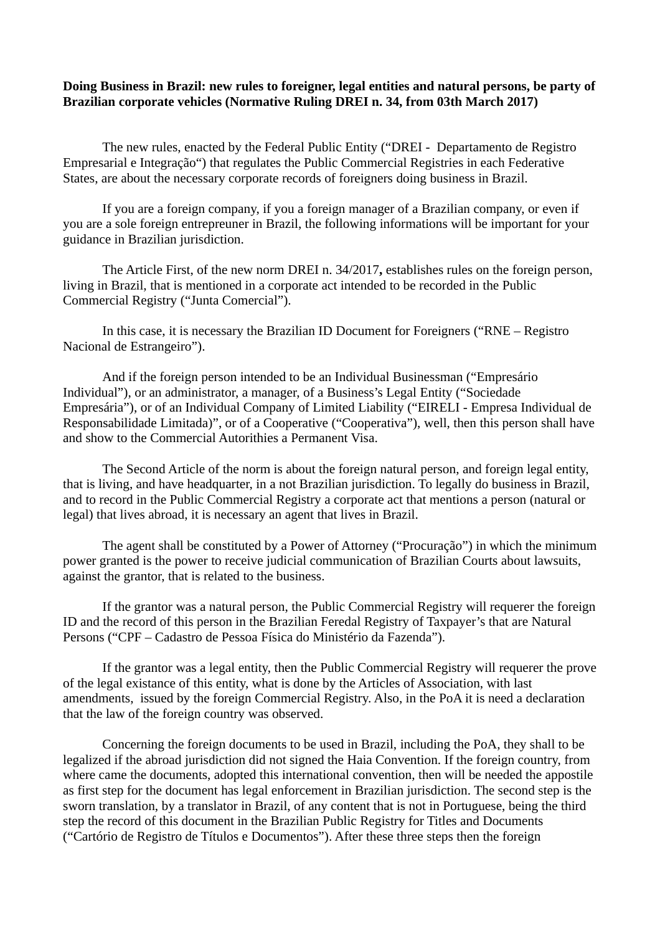## **Doing Business in Brazil: new rules to foreigner, legal entities and natural persons, be party of Brazilian corporate vehicles (Normative Ruling DREI n. 34, from 03th March 2017)**

The new rules, enacted by the Federal Public Entity ("DREI - Departamento de Registro Empresarial e Integração") that regulates the Public Commercial Registries in each Federative States, are about the necessary corporate records of foreigners doing business in Brazil.

If you are a foreign company, if you a foreign manager of a Brazilian company, or even if you are a sole foreign entrepreuner in Brazil, the following informations will be important for your guidance in Brazilian jurisdiction.

The Article First, of the new norm DREI n. 34/2017**,** establishes rules on the foreign person, living in Brazil, that is mentioned in a corporate act intended to be recorded in the Public Commercial Registry ("Junta Comercial").

In this case, it is necessary the Brazilian ID Document for Foreigners ("RNE – Registro Nacional de Estrangeiro").

And if the foreign person intended to be an Individual Businessman ("Empresário Individual"), or an administrator, a manager, of a Business's Legal Entity ("Sociedade Empresária"), or of an Individual Company of Limited Liability ("EIRELI - Empresa Individual de Responsabilidade Limitada)", or of a Cooperative ("Cooperativa"), well, then this person shall have and show to the Commercial Autorithies a Permanent Visa.

The Second Article of the norm is about the foreign natural person, and foreign legal entity, that is living, and have headquarter, in a not Brazilian jurisdiction. To legally do business in Brazil, and to record in the Public Commercial Registry a corporate act that mentions a person (natural or legal) that lives abroad, it is necessary an agent that lives in Brazil.

The agent shall be constituted by a Power of Attorney ("Procuração") in which the minimum power granted is the power to receive judicial communication of Brazilian Courts about lawsuits, against the grantor, that is related to the business.

If the grantor was a natural person, the Public Commercial Registry will requerer the foreign ID and the record of this person in the Brazilian Feredal Registry of Taxpayer's that are Natural Persons ("CPF – Cadastro de Pessoa Física do Ministério da Fazenda").

If the grantor was a legal entity, then the Public Commercial Registry will requerer the prove of the legal existance of this entity, what is done by the Articles of Association, with last amendments, issued by the foreign Commercial Registry. Also, in the PoA it is need a declaration that the law of the foreign country was observed.

Concerning the foreign documents to be used in Brazil, including the PoA, they shall to be legalized if the abroad jurisdiction did not signed the Haia Convention. If the foreign country, from where came the documents, adopted this international convention, then will be needed the appostile as first step for the document has legal enforcement in Brazilian jurisdiction. The second step is the sworn translation, by a translator in Brazil, of any content that is not in Portuguese, being the third step the record of this document in the Brazilian Public Registry for Titles and Documents ("Cartório de Registro de Títulos e Documentos"). After these three steps then the foreign